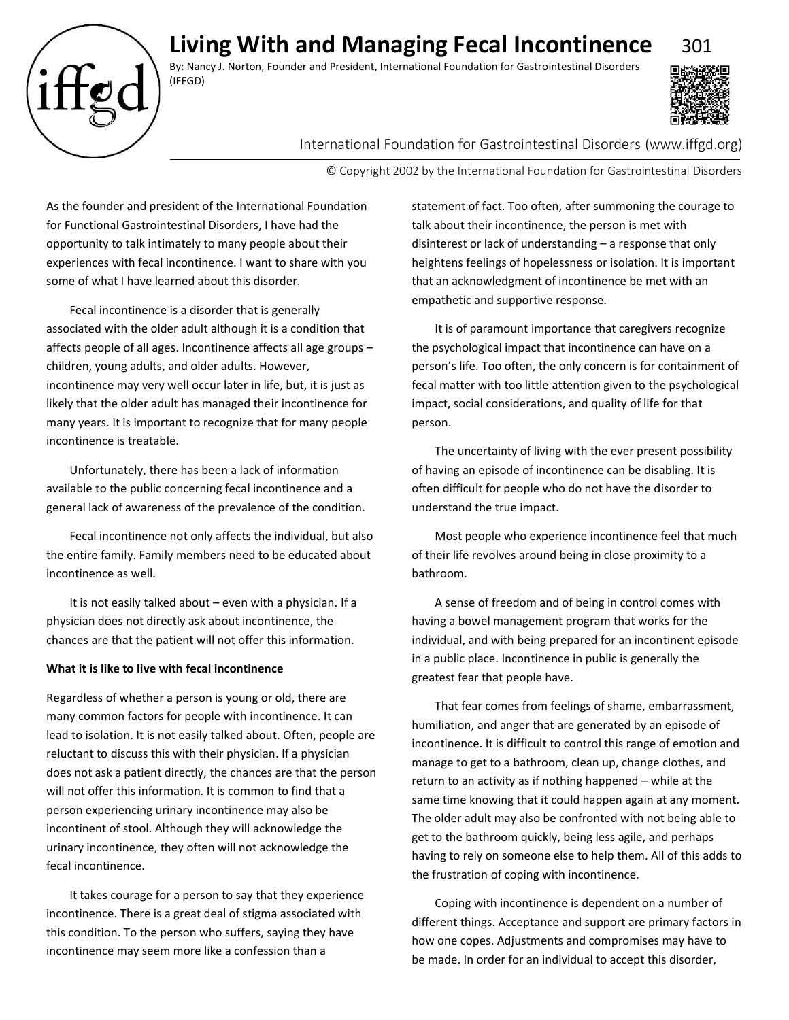# **Living With and Managing Fecal Incontinence** 301

By: Nancy J. Norton, Founder and President, International Foundation for Gastrointestinal Disorders (IFFGD)



## International Foundation for Gastrointestinal Disorders (www.iffgd.org)

© Copyright 2002 by the International Foundation for Gastrointestinal Disorders

As the founder and president of the International Foundation for Functional Gastrointestinal Disorders, I have had the opportunity to talk intimately to many people about their experiences with fecal incontinence. I want to share with you some of what I have learned about this disorder.

Fecal incontinence is a disorder that is generally associated with the older adult although it is a condition that affects people of all ages. Incontinence affects all age groups – children, young adults, and older adults. However, incontinence may very well occur later in life, but, it is just as likely that the older adult has managed their incontinence for many years. It is important to recognize that for many people incontinence is treatable.

Unfortunately, there has been a lack of information available to the public concerning fecal incontinence and a general lack of awareness of the prevalence of the condition.

Fecal incontinence not only affects the individual, but also the entire family. Family members need to be educated about incontinence as well.

It is not easily talked about – even with a physician. If a physician does not directly ask about incontinence, the chances are that the patient will not offer this information.

### **What it is like to live with fecal incontinence**

Regardless of whether a person is young or old, there are many common factors for people with incontinence. It can lead to isolation. It is not easily talked about. Often, people are reluctant to discuss this with their physician. If a physician does not ask a patient directly, the chances are that the person will not offer this information. It is common to find that a person experiencing urinary incontinence may also be incontinent of stool. Although they will acknowledge the urinary incontinence, they often will not acknowledge the fecal incontinence.

It takes courage for a person to say that they experience incontinence. There is a great deal of stigma associated with this condition. To the person who suffers, saying they have incontinence may seem more like a confession than a

statement of fact. Too often, after summoning the courage to talk about their incontinence, the person is met with disinterest or lack of understanding – a response that only heightens feelings of hopelessness or isolation. It is important that an acknowledgment of incontinence be met with an empathetic and supportive response.

It is of paramount importance that caregivers recognize the psychological impact that incontinence can have on a person's life. Too often, the only concern is for containment of fecal matter with too little attention given to the psychological impact, social considerations, and quality of life for that person.

The uncertainty of living with the ever present possibility of having an episode of incontinence can be disabling. It is often difficult for people who do not have the disorder to understand the true impact.

Most people who experience incontinence feel that much of their life revolves around being in close proximity to a bathroom.

A sense of freedom and of being in control comes with having a bowel management program that works for the individual, and with being prepared for an incontinent episode in a public place. Incontinence in public is generally the greatest fear that people have.

That fear comes from feelings of shame, embarrassment, humiliation, and anger that are generated by an episode of incontinence. It is difficult to control this range of emotion and manage to get to a bathroom, clean up, change clothes, and return to an activity as if nothing happened – while at the same time knowing that it could happen again at any moment. The older adult may also be confronted with not being able to get to the bathroom quickly, being less agile, and perhaps having to rely on someone else to help them. All of this adds to the frustration of coping with incontinence.

Coping with incontinence is dependent on a number of different things. Acceptance and support are primary factors in how one copes. Adjustments and compromises may have to be made. In order for an individual to accept this disorder,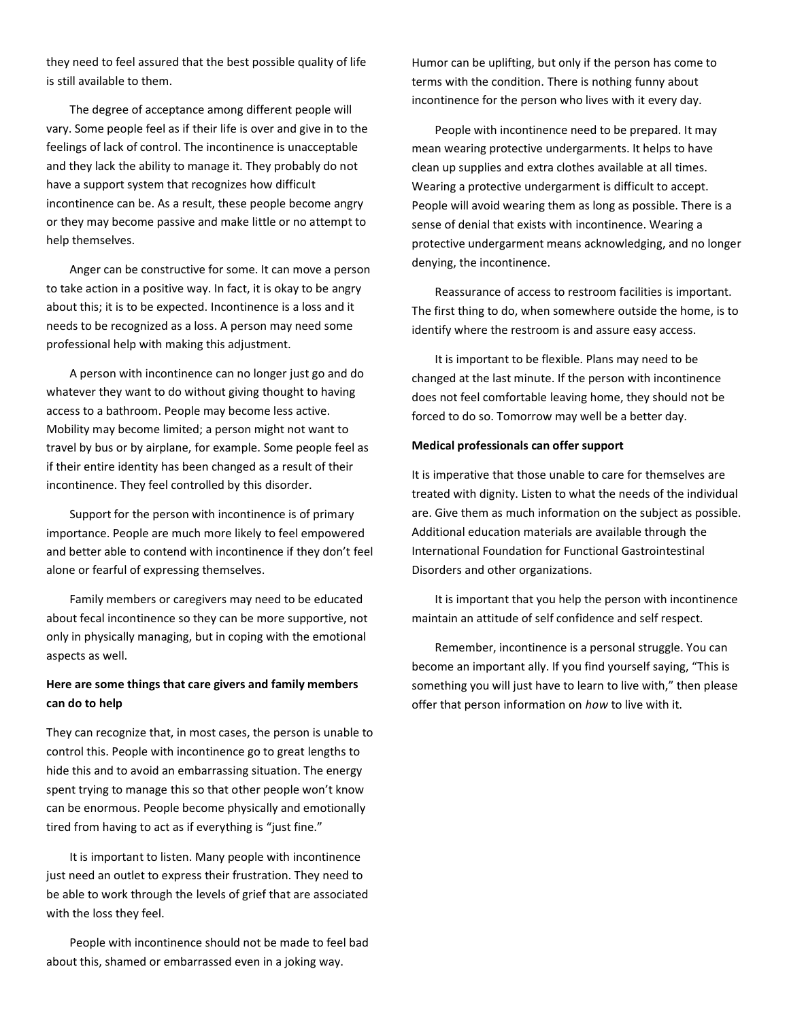they need to feel assured that the best possible quality of life is still available to them.

The degree of acceptance among different people will vary. Some people feel as if their life is over and give in to the feelings of lack of control. The incontinence is unacceptable and they lack the ability to manage it. They probably do not have a support system that recognizes how difficult incontinence can be. As a result, these people become angry or they may become passive and make little or no attempt to help themselves.

Anger can be constructive for some. It can move a person to take action in a positive way. In fact, it is okay to be angry about this; it is to be expected. Incontinence is a loss and it needs to be recognized as a loss. A person may need some professional help with making this adjustment.

A person with incontinence can no longer just go and do whatever they want to do without giving thought to having access to a bathroom. People may become less active. Mobility may become limited; a person might not want to travel by bus or by airplane, for example. Some people feel as if their entire identity has been changed as a result of their incontinence. They feel controlled by this disorder.

Support for the person with incontinence is of primary importance. People are much more likely to feel empowered and better able to contend with incontinence if they don't feel alone or fearful of expressing themselves.

Family members or caregivers may need to be educated about fecal incontinence so they can be more supportive, not only in physically managing, but in coping with the emotional aspects as well.

## **Here are some things that care givers and family members can do to help**

They can recognize that, in most cases, the person is unable to control this. People with incontinence go to great lengths to hide this and to avoid an embarrassing situation. The energy spent trying to manage this so that other people won't know can be enormous. People become physically and emotionally tired from having to act as if everything is "just fine."

It is important to listen. Many people with incontinence just need an outlet to express their frustration. They need to be able to work through the levels of grief that are associated with the loss they feel.

People with incontinence should not be made to feel bad about this, shamed or embarrassed even in a joking way.

Humor can be uplifting, but only if the person has come to terms with the condition. There is nothing funny about incontinence for the person who lives with it every day.

People with incontinence need to be prepared. It may mean wearing protective undergarments. It helps to have clean up supplies and extra clothes available at all times. Wearing a protective undergarment is difficult to accept. People will avoid wearing them as long as possible. There is a sense of denial that exists with incontinence. Wearing a protective undergarment means acknowledging, and no longer denying, the incontinence.

Reassurance of access to restroom facilities is important. The first thing to do, when somewhere outside the home, is to identify where the restroom is and assure easy access.

It is important to be flexible. Plans may need to be changed at the last minute. If the person with incontinence does not feel comfortable leaving home, they should not be forced to do so. Tomorrow may well be a better day.

### **Medical professionals can offer support**

It is imperative that those unable to care for themselves are treated with dignity. Listen to what the needs of the individual are. Give them as much information on the subject as possible. Additional education materials are available through the International Foundation for Functional Gastrointestinal Disorders and other organizations.

It is important that you help the person with incontinence maintain an attitude of self confidence and self respect.

Remember, incontinence is a personal struggle. You can become an important ally. If you find yourself saying, "This is something you will just have to learn to live with," then please offer that person information on *how* to live with it.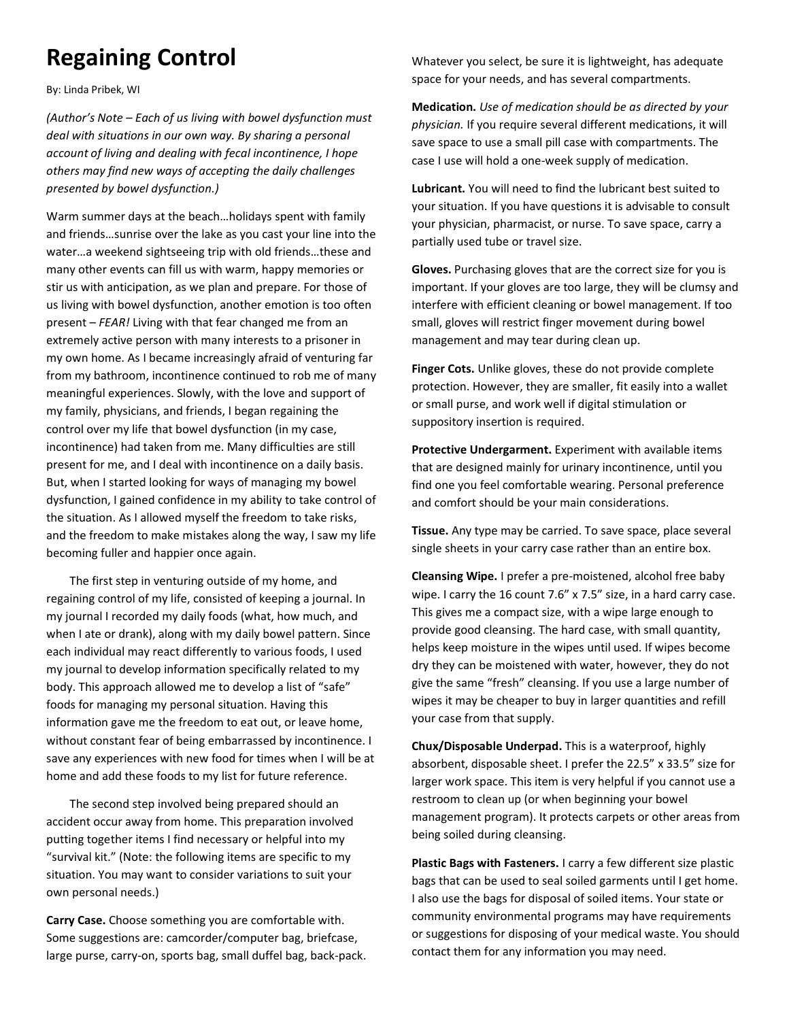# **Regaining Control**

By: Linda Pribek, WI

*(Author's Note – Each of us living with bowel dysfunction must deal with situations in our own way. By sharing a personal account of living and dealing with fecal incontinence, I hope others may find new ways of accepting the daily challenges presented by bowel dysfunction.)*

Warm summer days at the beach…holidays spent with family and friends…sunrise over the lake as you cast your line into the water…a weekend sightseeing trip with old friends…these and many other events can fill us with warm, happy memories or stir us with anticipation, as we plan and prepare. For those of us living with bowel dysfunction, another emotion is too often present – *FEAR!* Living with that fear changed me from an extremely active person with many interests to a prisoner in my own home. As I became increasingly afraid of venturing far from my bathroom, incontinence continued to rob me of many meaningful experiences. Slowly, with the love and support of my family, physicians, and friends, I began regaining the control over my life that bowel dysfunction (in my case, incontinence) had taken from me. Many difficulties are still present for me, and I deal with incontinence on a daily basis. But, when I started looking for ways of managing my bowel dysfunction, I gained confidence in my ability to take control of the situation. As I allowed myself the freedom to take risks, and the freedom to make mistakes along the way, I saw my life becoming fuller and happier once again.

The first step in venturing outside of my home, and regaining control of my life, consisted of keeping a journal. In my journal I recorded my daily foods (what, how much, and when I ate or drank), along with my daily bowel pattern. Since each individual may react differently to various foods, I used my journal to develop information specifically related to my body. This approach allowed me to develop a list of "safe" foods for managing my personal situation. Having this information gave me the freedom to eat out, or leave home, without constant fear of being embarrassed by incontinence. I save any experiences with new food for times when I will be at home and add these foods to my list for future reference.

The second step involved being prepared should an accident occur away from home. This preparation involved putting together items I find necessary or helpful into my "survival kit." (Note: the following items are specific to my situation. You may want to consider variations to suit your own personal needs.)

**Carry Case.** Choose something you are comfortable with. Some suggestions are: camcorder/computer bag, briefcase, large purse, carry-on, sports bag, small duffel bag, back-pack. Whatever you select, be sure it is lightweight, has adequate space for your needs, and has several compartments.

**Medication.** *Use of medication should be as directed by your physician.* If you require several different medications, it will save space to use a small pill case with compartments. The case I use will hold a one-week supply of medication.

**Lubricant.** You will need to find the lubricant best suited to your situation. If you have questions it is advisable to consult your physician, pharmacist, or nurse. To save space, carry a partially used tube or travel size.

**Gloves.** Purchasing gloves that are the correct size for you is important. If your gloves are too large, they will be clumsy and interfere with efficient cleaning or bowel management. If too small, gloves will restrict finger movement during bowel management and may tear during clean up.

**Finger Cots.** Unlike gloves, these do not provide complete protection. However, they are smaller, fit easily into a wallet or small purse, and work well if digital stimulation or suppository insertion is required.

**Protective Undergarment.** Experiment with available items that are designed mainly for urinary incontinence, until you find one you feel comfortable wearing. Personal preference and comfort should be your main considerations.

**Tissue.** Any type may be carried. To save space, place several single sheets in your carry case rather than an entire box.

**Cleansing Wipe.** I prefer a pre-moistened, alcohol free baby wipe. I carry the 16 count 7.6" x 7.5" size, in a hard carry case. This gives me a compact size, with a wipe large enough to provide good cleansing. The hard case, with small quantity, helps keep moisture in the wipes until used. If wipes become dry they can be moistened with water, however, they do not give the same "fresh" cleansing. If you use a large number of wipes it may be cheaper to buy in larger quantities and refill your case from that supply.

**Chux/Disposable Underpad.** This is a waterproof, highly absorbent, disposable sheet. I prefer the 22.5" x 33.5" size for larger work space. This item is very helpful if you cannot use a restroom to clean up (or when beginning your bowel management program). It protects carpets or other areas from being soiled during cleansing.

**Plastic Bags with Fasteners.** I carry a few different size plastic bags that can be used to seal soiled garments until I get home. I also use the bags for disposal of soiled items. Your state or community environmental programs may have requirements or suggestions for disposing of your medical waste. You should contact them for any information you may need.